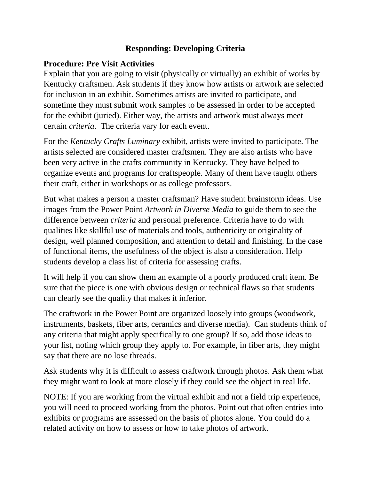#### **Responding: Developing Criteria**

#### **Procedure: Pre Visit Activities**

Explain that you are going to visit (physically or virtually) an exhibit of works by Kentucky craftsmen. Ask students if they know how artists or artwork are selected for inclusion in an exhibit. Sometimes artists are invited to participate, and sometime they must submit work samples to be assessed in order to be accepted for the exhibit (juried). Either way, the artists and artwork must always meet certain *criteria*. The criteria vary for each event.

For the *Kentucky Crafts Luminary* exhibit, artists were invited to participate. The artists selected are considered master craftsmen. They are also artists who have been very active in the crafts community in Kentucky. They have helped to organize events and programs for craftspeople. Many of them have taught others their craft, either in workshops or as college professors.

But what makes a person a master craftsman? Have student brainstorm ideas. Use images from the Power Point *Artwork in Diverse Media* to guide them to see the difference between *criteria* and personal preference. Criteria have to do with qualities like skillful use of materials and tools, authenticity or originality of design, well planned composition, and attention to detail and finishing. In the case of functional items, the usefulness of the object is also a consideration. Help students develop a class list of criteria for assessing crafts.

It will help if you can show them an example of a poorly produced craft item. Be sure that the piece is one with obvious design or technical flaws so that students can clearly see the quality that makes it inferior.

The craftwork in the Power Point are organized loosely into groups (woodwork, instruments, baskets, fiber arts, ceramics and diverse media). Can students think of any criteria that might apply specifically to one group? If so, add those ideas to your list, noting which group they apply to. For example, in fiber arts, they might say that there are no lose threads.

Ask students why it is difficult to assess craftwork through photos. Ask them what they might want to look at more closely if they could see the object in real life.

NOTE: If you are working from the virtual exhibit and not a field trip experience, you will need to proceed working from the photos. Point out that often entries into exhibits or programs are assessed on the basis of photos alone. You could do a related activity on how to assess or how to take photos of artwork.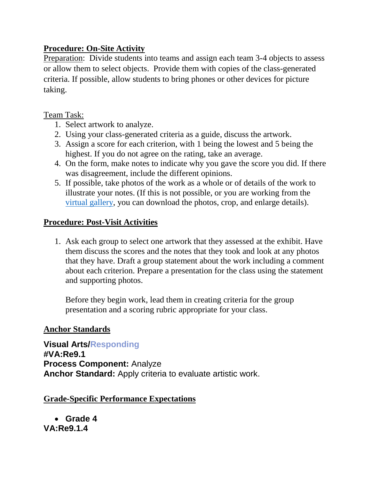#### **Procedure: On-Site Activity**

Preparation: Divide students into teams and assign each team 3-4 objects to assess or allow them to select objects. Provide them with copies of the class-generated criteria. If possible, allow students to bring phones or other devices for picture taking.

#### Team Task:

- 1. Select artwork to analyze.
- 2. Using your class-generated criteria as a guide, discuss the artwork.
- 3. Assign a score for each criterion, with 1 being the lowest and 5 being the highest. If you do not agree on the rating, take an average.
- 4. On the form, make notes to indicate why you gave the score you did. If there was disagreement, include the different opinions.
- 5. If possible, take photos of the work as a whole or of details of the work to illustrate your notes. (If this is not possible, or you are working from the [virtual gallery,](https://www.kchea.org/exhibitgallery) you can download the photos, crop, and enlarge details).

### **Procedure: Post-Visit Activities**

1. Ask each group to select one artwork that they assessed at the exhibit. Have them discuss the scores and the notes that they took and look at any photos that they have. Draft a group statement about the work including a comment about each criterion. Prepare a presentation for the class using the statement and supporting photos.

Before they begin work, lead them in creating criteria for the group presentation and a scoring rubric appropriate for your class.

#### **Anchor Standards**

**Visual Arts/Responding #VA:Re9.1 Process Component:** Analyze **Anchor Standard:** Apply criteria to evaluate artistic work.

#### **Grade-Specific Performance Expectations**

 **Grade 4 VA:Re9.1.4**